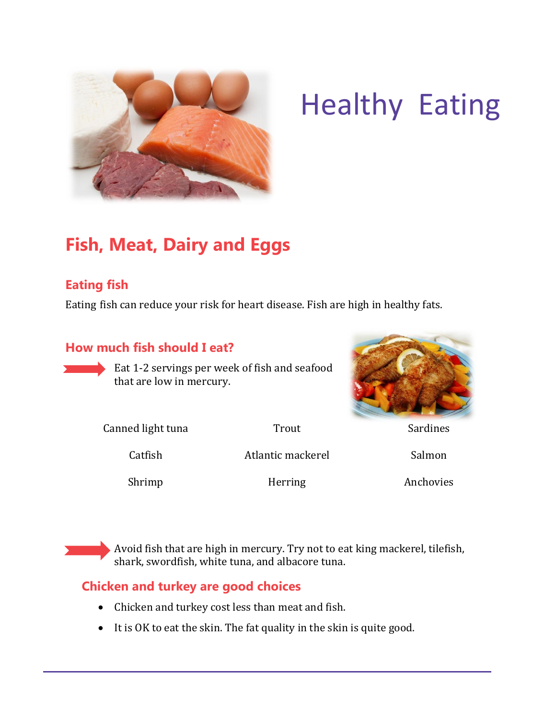

# Healthy Eating

# **Fish, Meat, Dairy and Eggs**

### **Eating fish**

Eating fish can reduce your risk for heart disease. Fish are high in healthy fats.

#### **How much fish should I eat?**

Eat 1-2 servings per week of fish and seafood that are low in mercury.



Canned light tuna Trout Trout Sardines

Catfish Matlantic mackerel Salmon

Shrimp Herring Anchovies

Avoid fish that are high in mercury. Try not to eat king mackerel, tilefish, shark, swordfish, white tuna, and albacore tuna.

#### **Chicken and turkey are good choices**

- Chicken and turkey cost less than meat and fish.
- It is OK to eat the skin. The fat quality in the skin is quite good.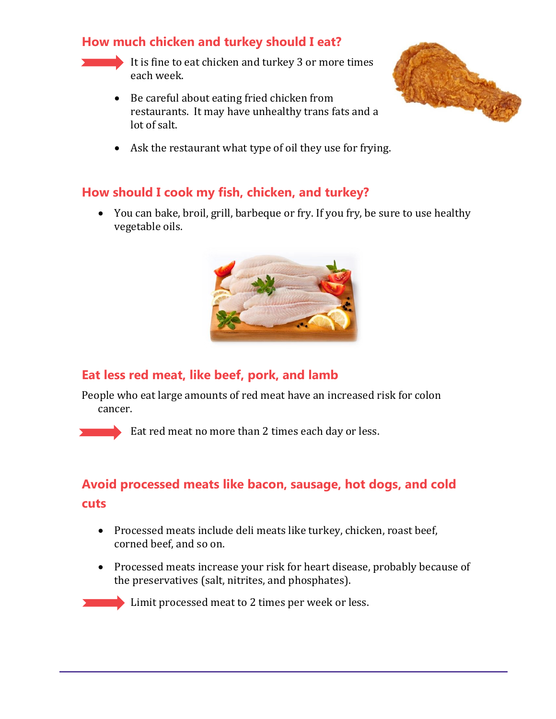#### **How much chicken and turkey should I eat?**

It is fine to eat chicken and turkey 3 or more times each week.

 Be careful about eating fried chicken from restaurants. It may have unhealthy trans fats and a lot of salt.



Ask the restaurant what type of oil they use for frying.

#### **How should I cook my fish, chicken, and turkey?**

 You can bake, broil, grill, barbeque or fry. If you fry, be sure to use healthy vegetable oils.



#### **Eat less red meat, like beef, pork, and lamb**

People who eat large amounts of red meat have an increased risk for colon cancer.



Eat red meat no more than 2 times each day or less.

# **Avoid processed meats like bacon, sausage, hot dogs, and cold cuts**

- Processed meats include deli meats like turkey, chicken, roast beef, corned beef, and so on.
- Processed meats increase your risk for heart disease, probably because of the preservatives (salt, nitrites, and phosphates).

**Limit processed meat to 2 times per week or less.**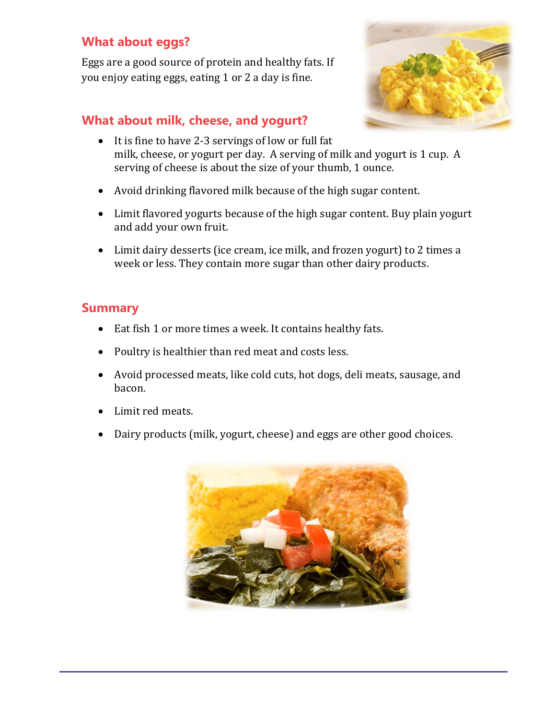#### **What about eggs?**

Eggs are a good source of protein and healthy fats. If you enjoy eating eggs, eating 1 or 2 a day is fine.

#### **What about milk, cheese, and yogurt?**



- It is fine to have 2-3 servings of low or full fat milk, cheese, or yogurt per day. A serving of milk and yogurt is 1 cup. A serving of cheese is about the size of your thumb, 1 ounce.
- Avoid drinking flavored milk because of the high sugar content.
- Limit flavored yogurts because of the high sugar content. Buy plain yogurt and add your own fruit.
- Limit dairy desserts (ice cream, ice milk, and frozen yogurt) to 2 times a week or less. They contain more sugar than other dairy products.

#### **Summary**

- Eat fish 1 or more times a week. It contains healthy fats.
- Poultry is healthier than red meat and costs less.
- Avoid processed meats, like cold cuts, hot dogs, deli meats, sausage, and bacon.
- Limit red meats.
- Dairy products (milk, yogurt, cheese) and eggs are other good choices.

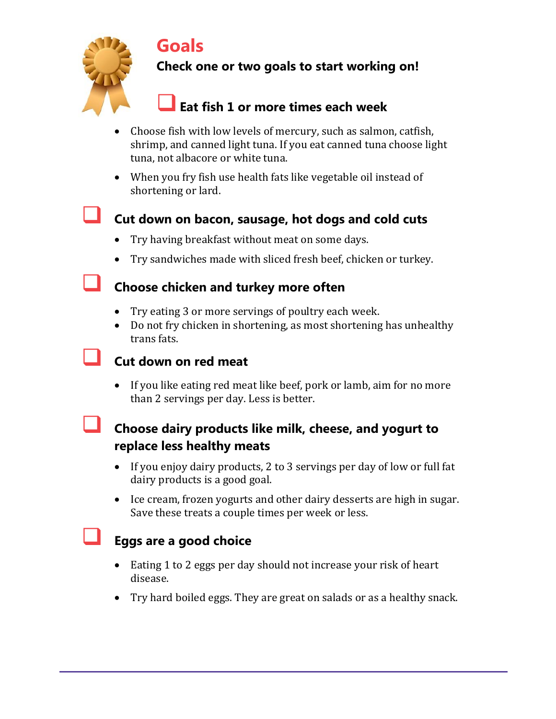# **Goals**



# **Check one or two goals to start working on!**

# **Eat fish 1 or more times each week**

- Choose fish with low levels of mercury, such as salmon, catfish, shrimp, and canned light tuna. If you eat canned tuna choose light tuna, not albacore or white tuna.
- When you fry fish use health fats like vegetable oil instead of shortening or lard.

### **Cut down on bacon, sausage, hot dogs and cold cuts**

- Try having breakfast without meat on some days.
- Try sandwiches made with sliced fresh beef, chicken or turkey.

#### **Choose chicken and turkey more often**

- Try eating 3 or more servings of poultry each week.
- Do not fry chicken in shortening, as most shortening has unhealthy trans fats.

# **Cut down on red meat**

 If you like eating red meat like beef, pork or lamb, aim for no more than 2 servings per day. Less is better.

### **Choose dairy products like milk, cheese, and yogurt to replace less healthy meats**

- If you enjoy dairy products, 2 to 3 servings per day of low or full fat dairy products is a good goal.
- Ice cream, frozen yogurts and other dairy desserts are high in sugar. Save these treats a couple times per week or less.

# **Eggs are a good choice**

- Eating 1 to 2 eggs per day should not increase your risk of heart disease.
- Try hard boiled eggs. They are great on salads or as a healthy snack.